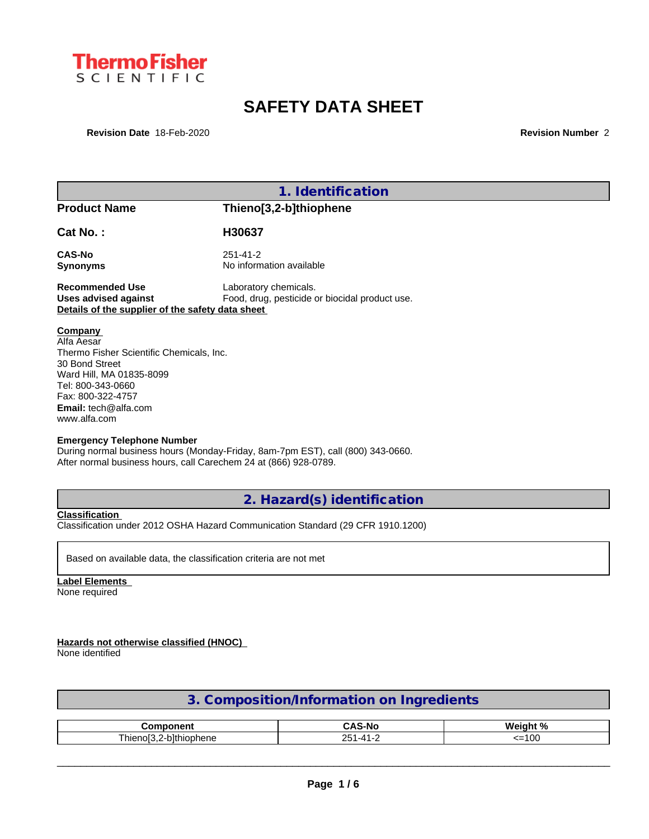

# **SAFETY DATA SHEET**

**Revision Date** 18-Feb-2020 **Revision Number** 2

| 1. Identification                                                                                                                                                                                          |                                                                                                                                                     |  |  |  |
|------------------------------------------------------------------------------------------------------------------------------------------------------------------------------------------------------------|-----------------------------------------------------------------------------------------------------------------------------------------------------|--|--|--|
| <b>Product Name</b>                                                                                                                                                                                        | Thieno[3,2-b]thiophene                                                                                                                              |  |  |  |
| Cat No.:                                                                                                                                                                                                   | H30637                                                                                                                                              |  |  |  |
| <b>CAS-No</b>                                                                                                                                                                                              | $251 - 41 - 2$                                                                                                                                      |  |  |  |
| <b>Synonyms</b>                                                                                                                                                                                            | No information available                                                                                                                            |  |  |  |
| <b>Recommended Use</b>                                                                                                                                                                                     | Laboratory chemicals.                                                                                                                               |  |  |  |
| <b>Uses advised against</b>                                                                                                                                                                                | Food, drug, pesticide or biocidal product use.                                                                                                      |  |  |  |
| Details of the supplier of the safety data sheet                                                                                                                                                           |                                                                                                                                                     |  |  |  |
| Company<br>Alfa Aesar<br>Thermo Fisher Scientific Chemicals, Inc.<br>30 Bond Street<br>Ward Hill, MA 01835-8099<br>Tel: 800-343-0660<br>Fax: 800-322-4757<br><b>Email:</b> $tech@alfa.com$<br>www.alfa.com |                                                                                                                                                     |  |  |  |
| <b>Emergency Telephone Number</b>                                                                                                                                                                          | During normal business hours (Monday-Friday, 8am-7pm EST), call (800) 343-0660.<br>After normal business hours, call Carechem 24 at (866) 928-0789. |  |  |  |
|                                                                                                                                                                                                            | 2. Hazard(s) identification                                                                                                                         |  |  |  |

**Classification** Classification under 2012 OSHA Hazard Communication Standard (29 CFR 1910.1200)

Based on available data, the classification criteria are not met

**Label Elements** None required

**Hazards not otherwise classified (HNOC)**

None identified

| 3. Composition/Information on Ingredients |  |
|-------------------------------------------|--|
|                                           |  |

| ----------<br>, т                    | $\ddot{\phantom{m}}$<br>n<br>- | $M$ aight %         |
|--------------------------------------|--------------------------------|---------------------|
| nhieno <sup>r</sup><br>niophene<br>, | $ -$<br>זר<br>້<br>-           | $\sim$<br>טע.<br>-- |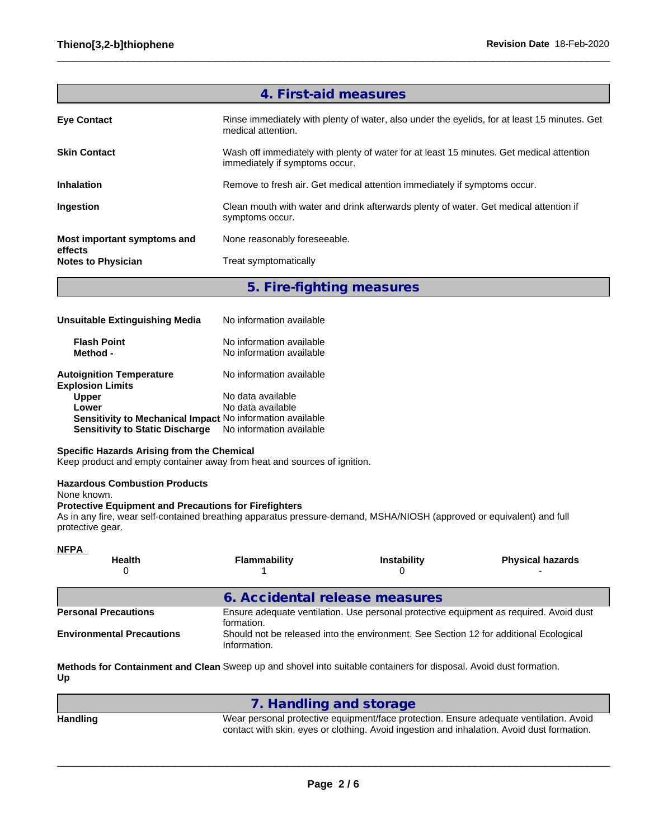|                                      | 4. First-aid measures                                                                                                      |
|--------------------------------------|----------------------------------------------------------------------------------------------------------------------------|
| <b>Eye Contact</b>                   | Rinse immediately with plenty of water, also under the eyelids, for at least 15 minutes. Get<br>medical attention.         |
| <b>Skin Contact</b>                  | Wash off immediately with plenty of water for at least 15 minutes. Get medical attention<br>immediately if symptoms occur. |
| <b>Inhalation</b>                    | Remove to fresh air. Get medical attention immediately if symptoms occur.                                                  |
| Ingestion                            | Clean mouth with water and drink afterwards plenty of water. Get medical attention if<br>symptoms occur.                   |
| Most important symptoms and          | None reasonably foreseeable.                                                                                               |
| effects<br><b>Notes to Physician</b> | Treat symptomatically                                                                                                      |
|                                      |                                                                                                                            |

### **5. Fire-fighting measures**

| Unsuitable Extinguishing Media                             | No information available                             |
|------------------------------------------------------------|------------------------------------------------------|
| <b>Flash Point</b><br>Method -                             | No information available<br>No information available |
| <b>Autoignition Temperature</b><br><b>Explosion Limits</b> | No information available                             |
| <b>Upper</b>                                               | No data available                                    |
| Lower                                                      | No data available                                    |
| Sensitivity to Mechanical Impact No information available  |                                                      |
| <b>Sensitivity to Static Discharge</b>                     | No information available                             |

### **Specific Hazards Arising from the Chemical**

Keep product and empty container away from heat and sources of ignition.

### **Hazardous Combustion Products**

None known.

### **Protective Equipment and Precautions for Firefighters**

As in any fire, wear self-contained breathing apparatus pressure-demand, MSHA/NIOSH (approved or equivalent) and full protective gear.

| <b>NFPA</b>                      |                                |                                                                                       |                                                                                        |
|----------------------------------|--------------------------------|---------------------------------------------------------------------------------------|----------------------------------------------------------------------------------------|
| <b>Health</b><br>0               | Flammability                   | <b>Instability</b>                                                                    | <b>Physical hazards</b>                                                                |
|                                  | 6. Accidental release measures |                                                                                       |                                                                                        |
| <b>Personal Precautions</b>      | formation.                     |                                                                                       | Ensure adequate ventilation. Use personal protective equipment as required. Avoid dust |
| <b>Environmental Precautions</b> | Information.                   | Should not be released into the environment. See Section 12 for additional Ecological |                                                                                        |

**Methods for Containment and Clean** Sweep up and shovel into suitable containers for disposal. Avoid dust formation. **Up**

|          | 7. Handling and storage                                                                                                                                                              |
|----------|--------------------------------------------------------------------------------------------------------------------------------------------------------------------------------------|
| Handling | Wear personal protective equipment/face protection. Ensure adequate ventilation. Avoid<br>contact with skin, eyes or clothing. Avoid ingestion and inhalation. Avoid dust formation. |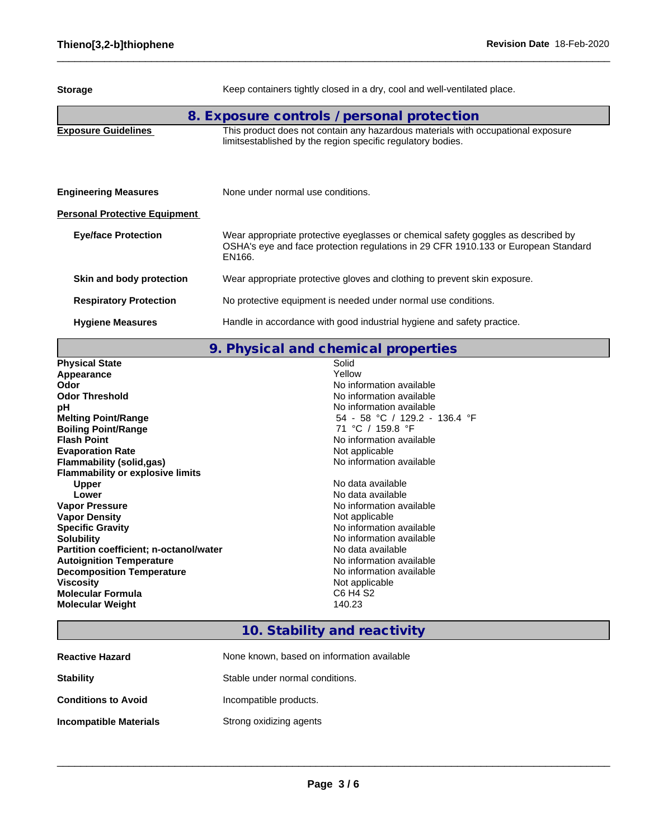| <b>Storage</b>                       | Keep containers tightly closed in a dry, cool and well-ventilated place.                                                                                                          |
|--------------------------------------|-----------------------------------------------------------------------------------------------------------------------------------------------------------------------------------|
|                                      | 8. Exposure controls / personal protection                                                                                                                                        |
| <b>Exposure Guidelines</b>           | This product does not contain any hazardous materials with occupational exposure<br>limitsestablished by the region specific regulatory bodies.                                   |
| <b>Engineering Measures</b>          | None under normal use conditions.                                                                                                                                                 |
| <b>Personal Protective Equipment</b> |                                                                                                                                                                                   |
| <b>Eye/face Protection</b>           | Wear appropriate protective eyeglasses or chemical safety goggles as described by<br>OSHA's eye and face protection regulations in 29 CFR 1910.133 or European Standard<br>EN166. |
| Skin and body protection             | Wear appropriate protective gloves and clothing to prevent skin exposure.                                                                                                         |
| <b>Respiratory Protection</b>        | No protective equipment is needed under normal use conditions.                                                                                                                    |
| <b>Hygiene Measures</b>              | Handle in accordance with good industrial hygiene and safety practice.                                                                                                            |

# **9. Physical and chemical properties**

| <b>Physical State</b>                   | Solid                         |
|-----------------------------------------|-------------------------------|
| Appearance                              | Yellow                        |
| Odor                                    | No information available      |
| <b>Odor Threshold</b>                   | No information available      |
| рH                                      | No information available      |
| <b>Melting Point/Range</b>              | 54 - 58 °C / 129.2 - 136.4 °F |
| <b>Boiling Point/Range</b>              | 71 °C / 159.8 °F              |
| <b>Flash Point</b>                      | No information available      |
| <b>Evaporation Rate</b>                 | Not applicable                |
| <b>Flammability (solid,gas)</b>         | No information available      |
| <b>Flammability or explosive limits</b> |                               |
| <b>Upper</b>                            | No data available             |
| Lower                                   | No data available             |
| <b>Vapor Pressure</b>                   | No information available      |
| <b>Vapor Density</b>                    | Not applicable                |
| <b>Specific Gravity</b>                 | No information available      |
| <b>Solubility</b>                       | No information available      |
| Partition coefficient; n-octanol/water  | No data available             |
| <b>Autoignition Temperature</b>         | No information available      |
| <b>Decomposition Temperature</b>        | No information available      |
| <b>Viscosity</b>                        | Not applicable                |
| <b>Molecular Formula</b>                | C6 H4 S2                      |
| <b>Molecular Weight</b>                 | 140.23                        |
|                                         |                               |

## **10. Stability and reactivity**

| <b>Reactive Hazard</b>        | None known, based on information available |
|-------------------------------|--------------------------------------------|
| <b>Stability</b>              | Stable under normal conditions.            |
| <b>Conditions to Avoid</b>    | Incompatible products.                     |
| <b>Incompatible Materials</b> | Strong oxidizing agents                    |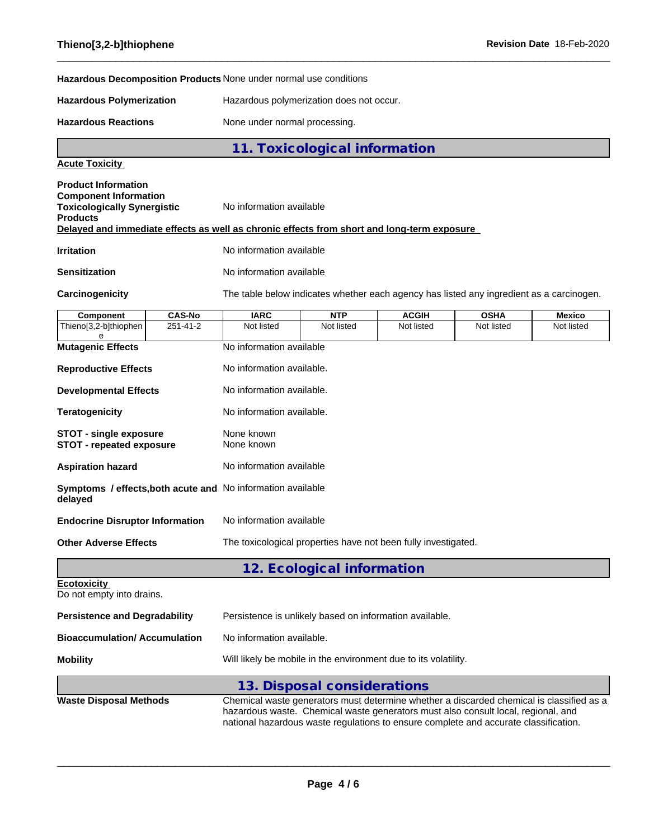**Hazardous Decomposition Products** None under normal use conditions

**Hazardous Polymerization** Hazardous polymerization does not occur.

Hazardous Reactions **None under normal processing**.

**11. Toxicological information**

### **Acute Toxicity**

| <b>Product Information</b><br><b>Component Information</b><br><b>Toxicologically Synergistic</b><br><b>Products</b> | No information available                                                                   |
|---------------------------------------------------------------------------------------------------------------------|--------------------------------------------------------------------------------------------|
|                                                                                                                     | Delayed and immediate effects as well as chronic effects from short and long-term exposure |
| <b>Irritation</b>                                                                                                   | No information available                                                                   |
| <b>Sensitization</b>                                                                                                | No information available                                                                   |

I

Carcinogenicity The table below indicates whether each agency has listed any ingredient as a carcinogen. **Component CAS-No IARC NTP ACGIH OSHA Mexico**

| Thieno[3,2-b]thiophen                                            | $251 - 41 - 2$                                                   | Not listed                                                                                                                                                                                                               | Not listed                                                                                                                                                                                                                                                            | Not listed | Not listed | Not listed |  |  |
|------------------------------------------------------------------|------------------------------------------------------------------|--------------------------------------------------------------------------------------------------------------------------------------------------------------------------------------------------------------------------|-----------------------------------------------------------------------------------------------------------------------------------------------------------------------------------------------------------------------------------------------------------------------|------------|------------|------------|--|--|
| <b>Mutagenic Effects</b>                                         |                                                                  | No information available                                                                                                                                                                                                 |                                                                                                                                                                                                                                                                       |            |            |            |  |  |
| <b>Reproductive Effects</b>                                      |                                                                  | No information available.                                                                                                                                                                                                |                                                                                                                                                                                                                                                                       |            |            |            |  |  |
| <b>Developmental Effects</b>                                     |                                                                  | No information available.                                                                                                                                                                                                |                                                                                                                                                                                                                                                                       |            |            |            |  |  |
| <b>Teratogenicity</b>                                            |                                                                  | No information available.                                                                                                                                                                                                |                                                                                                                                                                                                                                                                       |            |            |            |  |  |
| <b>STOT - single exposure</b><br><b>STOT - repeated exposure</b> |                                                                  | None known<br>None known<br>No information available<br><b>Symptoms / effects, both acute and No information available</b><br>No information available<br>The toxicological properties have not been fully investigated. |                                                                                                                                                                                                                                                                       |            |            |            |  |  |
| <b>Aspiration hazard</b>                                         |                                                                  |                                                                                                                                                                                                                          |                                                                                                                                                                                                                                                                       |            |            |            |  |  |
| delayed                                                          |                                                                  |                                                                                                                                                                                                                          |                                                                                                                                                                                                                                                                       |            |            |            |  |  |
| <b>Endocrine Disruptor Information</b>                           |                                                                  |                                                                                                                                                                                                                          |                                                                                                                                                                                                                                                                       |            |            |            |  |  |
| <b>Other Adverse Effects</b>                                     |                                                                  |                                                                                                                                                                                                                          |                                                                                                                                                                                                                                                                       |            |            |            |  |  |
|                                                                  |                                                                  |                                                                                                                                                                                                                          | 12. Ecological information                                                                                                                                                                                                                                            |            |            |            |  |  |
| <b>Ecotoxicity</b><br>Do not empty into drains.                  |                                                                  |                                                                                                                                                                                                                          |                                                                                                                                                                                                                                                                       |            |            |            |  |  |
| <b>Persistence and Degradability</b>                             |                                                                  | Persistence is unlikely based on information available.                                                                                                                                                                  |                                                                                                                                                                                                                                                                       |            |            |            |  |  |
|                                                                  | <b>Bioaccumulation/Accumulation</b><br>No information available. |                                                                                                                                                                                                                          |                                                                                                                                                                                                                                                                       |            |            |            |  |  |
| <b>Mobility</b>                                                  |                                                                  | Will likely be mobile in the environment due to its volatility.                                                                                                                                                          |                                                                                                                                                                                                                                                                       |            |            |            |  |  |
|                                                                  |                                                                  |                                                                                                                                                                                                                          | 13. Disposal considerations                                                                                                                                                                                                                                           |            |            |            |  |  |
| <b>Waste Disposal Methods</b>                                    |                                                                  |                                                                                                                                                                                                                          | Chemical waste generators must determine whether a discarded chemical is classified as a<br>hazardous waste. Chemical waste generators must also consult local, regional, and<br>national hazardous waste regulations to ensure complete and accurate classification. |            |            |            |  |  |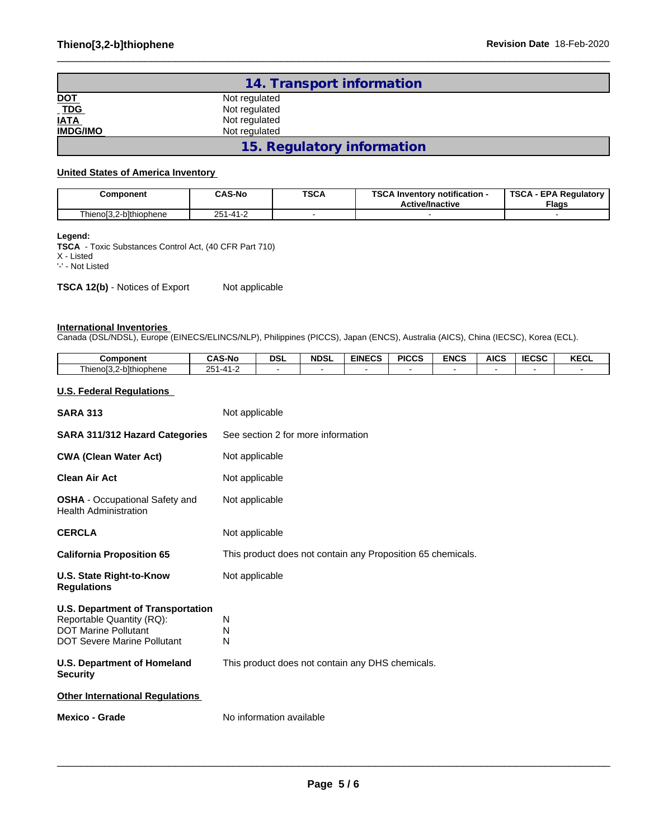|                           | 14. Transport information  |  |
|---------------------------|----------------------------|--|
|                           | Not regulated              |  |
| <u>DOT</u><br>TDG<br>IATA | Not regulated              |  |
|                           | Not regulated              |  |
| <b>IMDG/IMO</b>           | Not regulated              |  |
|                           | 15. Regulatory information |  |

### **United States of America Inventory**

| Component                                                         | <b>CAS-No</b>                           | <b>TSCA</b> | <b>TCO 4</b><br>.<br>∖ Inventorv notification -<br><b>Active/Inactive</b> | <b>TSCA</b><br><b>EPA Requiatory</b><br><b>Flags</b> |
|-------------------------------------------------------------------|-----------------------------------------|-------------|---------------------------------------------------------------------------|------------------------------------------------------|
| -bithiophene<br><b>Allano<sup>ro</sup></b><br><b>IIIGIIUIJ.</b> Z | $-11$<br>$\sim$ $\sim$ $\sim$<br>.<br>∼ |             |                                                                           |                                                      |

#### **Legend:**

**TSCA** - Toxic Substances Control Act, (40 CFR Part 710) X - Listed

'-' - Not Listed

**TSCA 12(b)** - Notices of Export Not applicable

#### **International Inventories**

Canada (DSL/NDSL), Europe (EINECS/ELINCS/NLP), Philippines (PICCS), Japan (ENCS), Australia (AICS), China (IECSC), Korea (ECL).

| <b>Component</b>                                                                                                                           | <b>CAS-No</b>  | <b>DSL</b>                                                  | <b>NDSL</b> | <b>EINECS</b>                                    | <b>PICCS</b> | <b>ENCS</b> | <b>AICS</b> | <b>IECSC</b> | <b>KECL</b> |
|--------------------------------------------------------------------------------------------------------------------------------------------|----------------|-------------------------------------------------------------|-------------|--------------------------------------------------|--------------|-------------|-------------|--------------|-------------|
| Thieno[3,2-b]thiophene                                                                                                                     | 251-41-2       |                                                             |             |                                                  |              |             |             |              |             |
| <b>U.S. Federal Regulations</b>                                                                                                            |                |                                                             |             |                                                  |              |             |             |              |             |
| <b>SARA 313</b>                                                                                                                            | Not applicable |                                                             |             |                                                  |              |             |             |              |             |
| SARA 311/312 Hazard Categories                                                                                                             |                | See section 2 for more information                          |             |                                                  |              |             |             |              |             |
| <b>CWA (Clean Water Act)</b>                                                                                                               |                | Not applicable                                              |             |                                                  |              |             |             |              |             |
| <b>Clean Air Act</b>                                                                                                                       |                | Not applicable                                              |             |                                                  |              |             |             |              |             |
| <b>OSHA</b> - Occupational Safety and<br><b>Health Administration</b>                                                                      |                | Not applicable                                              |             |                                                  |              |             |             |              |             |
| <b>CERCLA</b>                                                                                                                              | Not applicable |                                                             |             |                                                  |              |             |             |              |             |
| <b>California Proposition 65</b>                                                                                                           |                | This product does not contain any Proposition 65 chemicals. |             |                                                  |              |             |             |              |             |
| <b>U.S. State Right-to-Know</b><br><b>Regulations</b>                                                                                      | Not applicable |                                                             |             |                                                  |              |             |             |              |             |
| <b>U.S. Department of Transportation</b><br>Reportable Quantity (RQ):<br><b>DOT Marine Pollutant</b><br><b>DOT Severe Marine Pollutant</b> | N<br>N<br>N    |                                                             |             |                                                  |              |             |             |              |             |
| <b>U.S. Department of Homeland</b><br><b>Security</b>                                                                                      |                |                                                             |             | This product does not contain any DHS chemicals. |              |             |             |              |             |
| <b>Other International Regulations</b>                                                                                                     |                |                                                             |             |                                                  |              |             |             |              |             |
| <b>Mexico - Grade</b>                                                                                                                      |                | No information available                                    |             |                                                  |              |             |             |              |             |